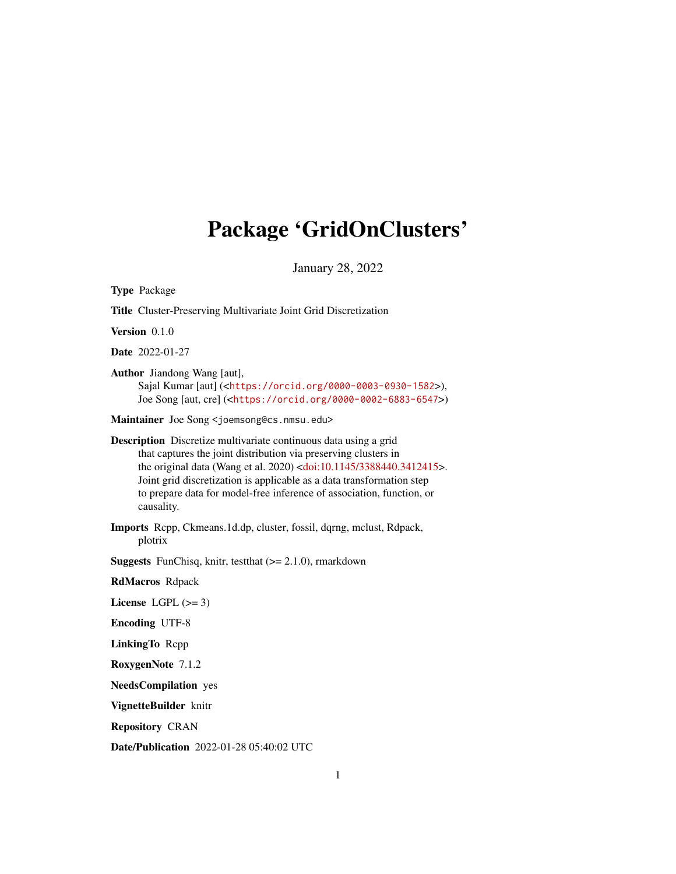## <span id="page-0-0"></span>Package 'GridOnClusters'

January 28, 2022

Type Package Title Cluster-Preserving Multivariate Joint Grid Discretization Version 0.1.0 Date 2022-01-27 Author Jiandong Wang [aut], Sajal Kumar [aut] (<<https://orcid.org/0000-0003-0930-1582>>), Joe Song [aut, cre] (<<https://orcid.org/0000-0002-6883-6547>>) Maintainer Joe Song <joemsong@cs.nmsu.edu> Description Discretize multivariate continuous data using a grid that captures the joint distribution via preserving clusters in the original data (Wang et al. 2020) [<doi:10.1145/3388440.3412415>](https://doi.org/10.1145/3388440.3412415). Joint grid discretization is applicable as a data transformation step to prepare data for model-free inference of association, function, or causality. Imports Rcpp, Ckmeans.1d.dp, cluster, fossil, dqrng, mclust, Rdpack, plotrix **Suggests** FunChisq, knitr, test that  $(>= 2.1.0)$ , rmarkdown RdMacros Rdpack License LGPL  $(>= 3)$ Encoding UTF-8 LinkingTo Rcpp RoxygenNote 7.1.2 NeedsCompilation yes VignetteBuilder knitr Repository CRAN Date/Publication 2022-01-28 05:40:02 UTC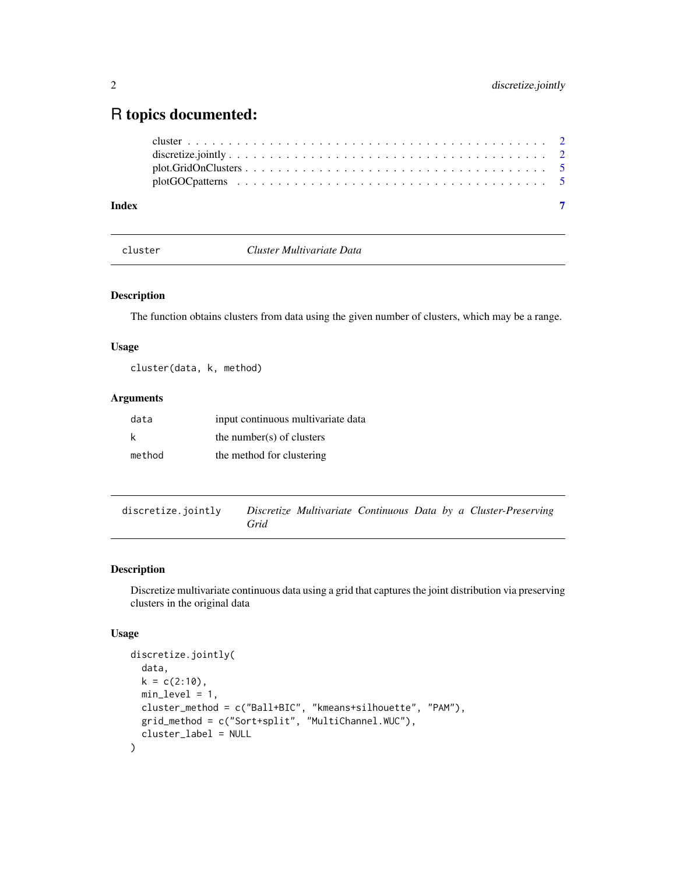### <span id="page-1-0"></span>R topics documented:

cluster *Cluster Multivariate Data*

#### Description

The function obtains clusters from data using the given number of clusters, which may be a range.

#### Usage

cluster(data, k, method)

#### Arguments

| data   | input continuous multivariate data |
|--------|------------------------------------|
| k      | the number(s) of clusters          |
| method | the method for clustering          |

discretize.jointly *Discretize Multivariate Continuous Data by a Cluster-Preserving Grid*

#### Description

Discretize multivariate continuous data using a grid that captures the joint distribution via preserving clusters in the original data

#### Usage

```
discretize.jointly(
  data,
 k = c(2:10),
 min\_level = 1,
 cluster_method = c("Ball+BIC", "kmeans+silhouette", "PAM"),
 grid_method = c("Sort+split", "MultiChannel.WUC"),
 cluster_label = NULL
)
```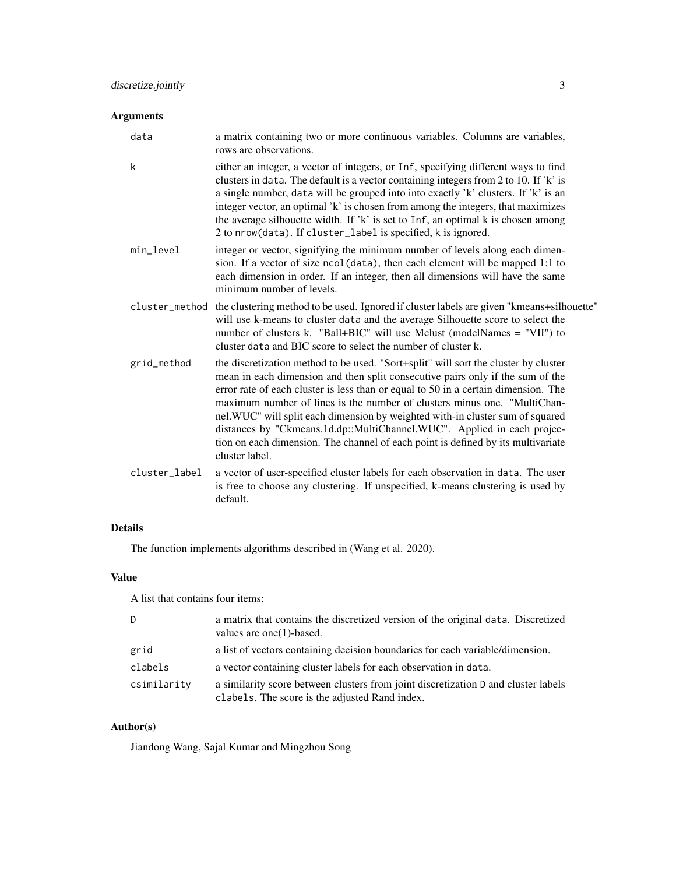#### Arguments

| data | a matrix containing two or more continuous variables. Columns are variables, |
|------|------------------------------------------------------------------------------|
|      | rows are observations.                                                       |

- k either an integer, a vector of integers, or Inf, specifying different ways to find clusters in data. The default is a vector containing integers from 2 to 10. If 'k' is a single number, data will be grouped into into exactly 'k' clusters. If 'k' is an integer vector, an optimal 'k' is chosen from among the integers, that maximizes the average silhouette width. If 'k' is set to Inf, an optimal k is chosen among 2 to nrow(data). If cluster\_label is specified, k is ignored.
- min\_level integer or vector, signifying the minimum number of levels along each dimension. If a vector of size ncol(data), then each element will be mapped 1:1 to each dimension in order. If an integer, then all dimensions will have the same minimum number of levels.
- cluster\_method the clustering method to be used. Ignored if cluster labels are given "kmeans+silhouette" will use k-means to cluster data and the average Silhouette score to select the number of clusters k. "Ball+BIC" will use Mclust (modelNames = "VII") to cluster data and BIC score to select the number of cluster k.
- grid\_method the discretization method to be used. "Sort+split" will sort the cluster by cluster mean in each dimension and then split consecutive pairs only if the sum of the error rate of each cluster is less than or equal to 50 in a certain dimension. The maximum number of lines is the number of clusters minus one. "MultiChannel.WUC" will split each dimension by weighted with-in cluster sum of squared distances by "Ckmeans.1d.dp::MultiChannel.WUC". Applied in each projection on each dimension. The channel of each point is defined by its multivariate cluster label.
- cluster\_label a vector of user-specified cluster labels for each observation in data. The user is free to choose any clustering. If unspecified, k-means clustering is used by default.

#### Details

The function implements algorithms described in (Wang et al. 2020).

#### Value

A list that contains four items:

| D           | a matrix that contains the discretized version of the original data. Discretized<br>values are one $(1)$ -based.                     |
|-------------|--------------------------------------------------------------------------------------------------------------------------------------|
| grid        | a list of vectors containing decision boundaries for each variable/dimension.                                                        |
| clabels     | a vector containing cluster labels for each observation in data.                                                                     |
| csimilarity | a similarity score between clusters from joint discretization D and cluster labels<br>clabels. The score is the adjusted Rand index. |

#### Author(s)

Jiandong Wang, Sajal Kumar and Mingzhou Song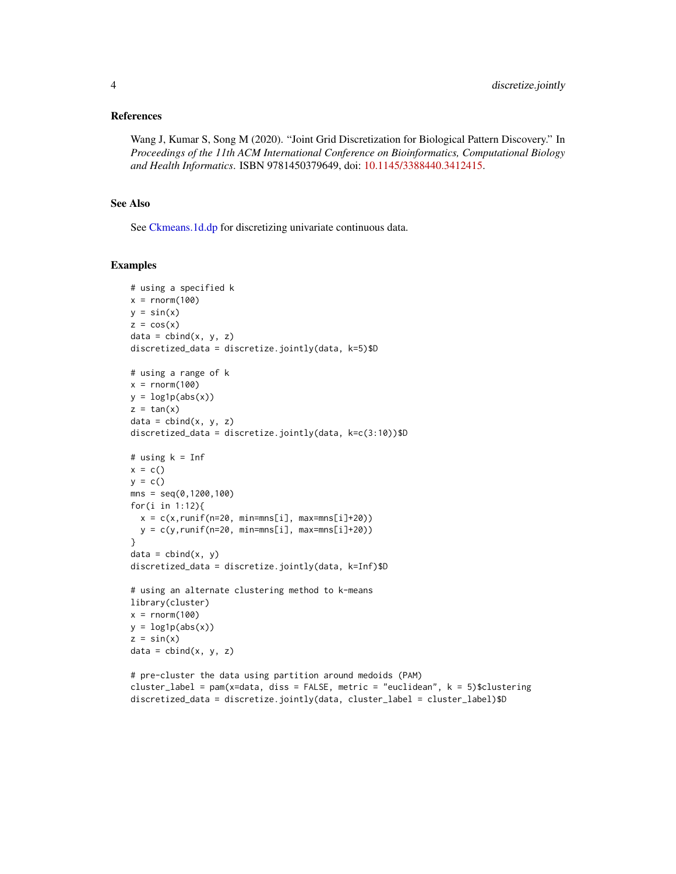#### <span id="page-3-0"></span>References

Wang J, Kumar S, Song M (2020). "Joint Grid Discretization for Biological Pattern Discovery." In *Proceedings of the 11th ACM International Conference on Bioinformatics, Computational Biology and Health Informatics*. ISBN 9781450379649, doi: [10.1145/3388440.3412415.](https://doi.org/10.1145/3388440.3412415)

#### See Also

See [Ckmeans.1d.dp](#page-0-0) for discretizing univariate continuous data.

#### Examples

```
# using a specified k
x = rnorm(100)y = sin(x)z = cos(x)data = child(x, y, z)discretized_data = discretize.jointly(data, k=5)$D
# using a range of k
x = rnorm(100)y = log1p(abs(x))z = tan(x)data = child(x, y, z)discretized_data = discretize.jointly(data, k=c(3:10))$D
# using k = Infx = c()y = c()mns = seq(0, 1200, 100)for(i in 1:12){
  x = c(x, runif(n=20, min=mns[i], max=mns[i]+20))y = c(y, runif(n=20, min=mns[i], max=mns[i]+20))}
data = child(x, y)discretized_data = discretize.jointly(data, k=Inf)$D
# using an alternate clustering method to k-means
library(cluster)
x = rnorm(100)y = log1p(abs(x))z = sin(x)data = child(x, y, z)# pre-cluster the data using partition around medoids (PAM)
cluster_label = pam(x=data, diss = FALSE, metric = "euclidean", k = 5)$clustering
```
discretized\_data = discretize.jointly(data, cluster\_label = cluster\_label)\$D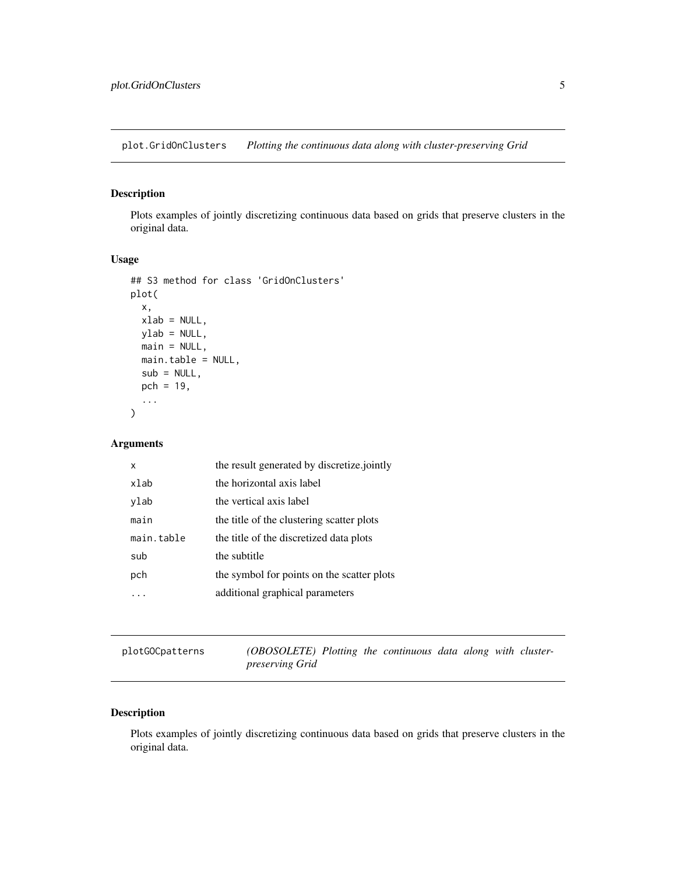<span id="page-4-0"></span>plot.GridOnClusters *Plotting the continuous data along with cluster-preserving Grid*

#### Description

Plots examples of jointly discretizing continuous data based on grids that preserve clusters in the original data.

#### Usage

```
## S3 method for class 'GridOnClusters'
plot(
  x,
  xlab = NULL,
 ylab = NULL,
 main = NULL,main.table = NULL,
  sub = NULL,pch = 19,
  ...
)
```
#### Arguments

| x          | the result generated by discretize jointly |
|------------|--------------------------------------------|
| xlab       | the horizontal axis label                  |
| ylab       | the vertical axis label                    |
| main       | the title of the clustering scatter plots  |
| main.table | the title of the discretized data plots    |
| sub        | the subtitle                               |
| pch        | the symbol for points on the scatter plots |
|            | additional graphical parameters            |
|            |                                            |

plotGOCpatterns *(OBOSOLETE) Plotting the continuous data along with clusterpreserving Grid*

#### Description

Plots examples of jointly discretizing continuous data based on grids that preserve clusters in the original data.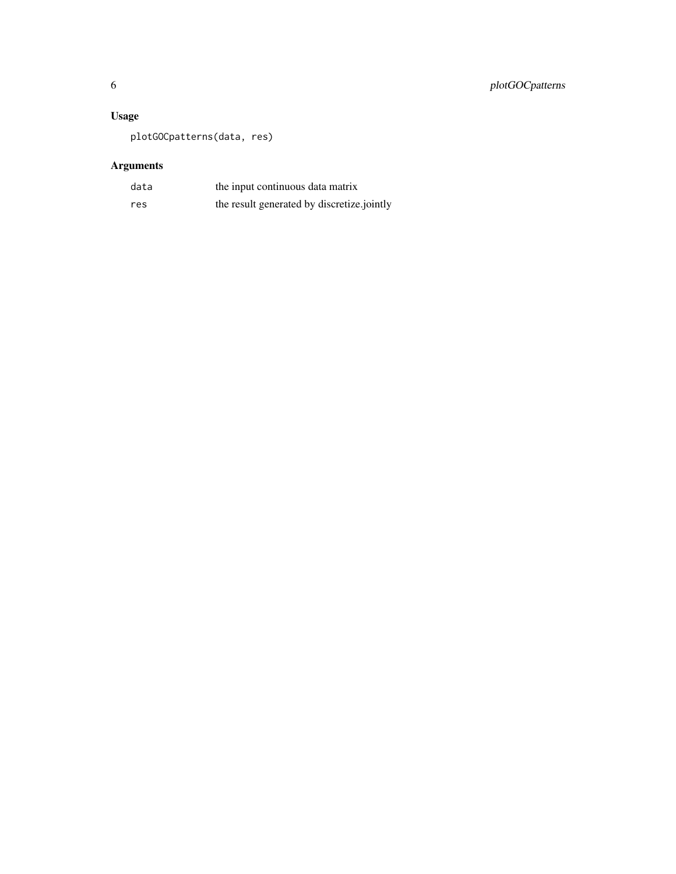#### Usage

plotGOCpatterns(data, res)

### Arguments

| data | the input continuous data matrix           |
|------|--------------------------------------------|
| res  | the result generated by discretize.jointly |